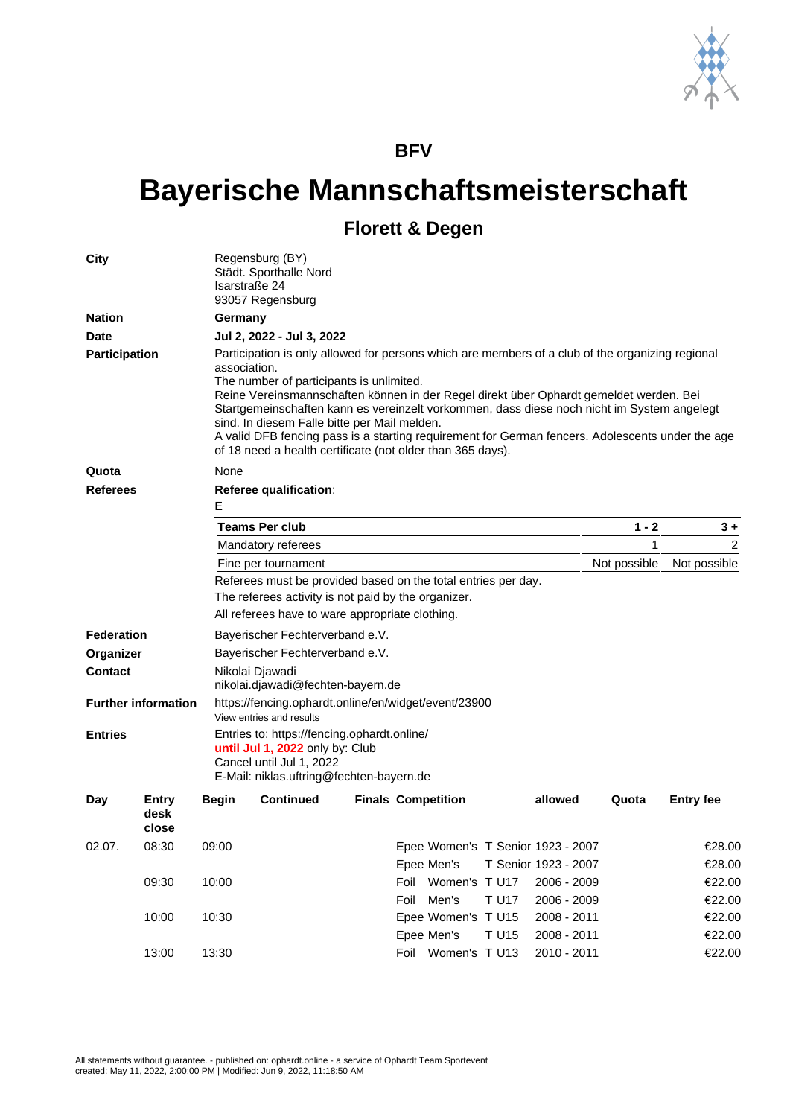

## **BFV**

## **Bayerische Mannschaftsmeisterschaft**

## **Florett & Degen**

| City                                                                           |                        | Regensburg (BY)<br>Städt. Sporthalle Nord<br>Isarstraße 24<br>93057 Regensburg                                                                                                                                                                                                                                                                                                                                                                                                                                                                                         |                                                 |                                                                                                                                                        |                           |  |              |                                   |              |                  |  |                                                      |
|--------------------------------------------------------------------------------|------------------------|------------------------------------------------------------------------------------------------------------------------------------------------------------------------------------------------------------------------------------------------------------------------------------------------------------------------------------------------------------------------------------------------------------------------------------------------------------------------------------------------------------------------------------------------------------------------|-------------------------------------------------|--------------------------------------------------------------------------------------------------------------------------------------------------------|---------------------------|--|--------------|-----------------------------------|--------------|------------------|--|------------------------------------------------------|
| <b>Nation</b>                                                                  |                        | Germany                                                                                                                                                                                                                                                                                                                                                                                                                                                                                                                                                                |                                                 |                                                                                                                                                        |                           |  |              |                                   |              |                  |  |                                                      |
| <b>Date</b>                                                                    |                        |                                                                                                                                                                                                                                                                                                                                                                                                                                                                                                                                                                        | Jul 2, 2022 - Jul 3, 2022                       |                                                                                                                                                        |                           |  |              |                                   |              |                  |  |                                                      |
| Participation                                                                  |                        | Participation is only allowed for persons which are members of a club of the organizing regional<br>association.<br>The number of participants is unlimited.<br>Reine Vereinsmannschaften können in der Regel direkt über Ophardt gemeldet werden. Bei<br>Startgemeinschaften kann es vereinzelt vorkommen, dass diese noch nicht im System angelegt<br>sind. In diesem Falle bitte per Mail melden.<br>A valid DFB fencing pass is a starting requirement for German fencers. Adolescents under the age<br>of 18 need a health certificate (not older than 365 days). |                                                 |                                                                                                                                                        |                           |  |              |                                   |              |                  |  |                                                      |
| Quota                                                                          |                        | None                                                                                                                                                                                                                                                                                                                                                                                                                                                                                                                                                                   |                                                 |                                                                                                                                                        |                           |  |              |                                   |              |                  |  |                                                      |
| <b>Referees</b>                                                                |                        | <b>Referee qualification:</b><br>Е                                                                                                                                                                                                                                                                                                                                                                                                                                                                                                                                     |                                                 |                                                                                                                                                        |                           |  |              |                                   |              |                  |  |                                                      |
|                                                                                |                        |                                                                                                                                                                                                                                                                                                                                                                                                                                                                                                                                                                        |                                                 |                                                                                                                                                        |                           |  |              |                                   |              |                  |  | <b>Teams Per club</b>                                |
|                                                                                |                        | Mandatory referees                                                                                                                                                                                                                                                                                                                                                                                                                                                                                                                                                     |                                                 |                                                                                                                                                        |                           |  |              |                                   | 1            | 2                |  |                                                      |
|                                                                                |                        | Fine per tournament                                                                                                                                                                                                                                                                                                                                                                                                                                                                                                                                                    |                                                 |                                                                                                                                                        |                           |  |              |                                   | Not possible | Not possible     |  |                                                      |
|                                                                                |                        | Referees must be provided based on the total entries per day.                                                                                                                                                                                                                                                                                                                                                                                                                                                                                                          |                                                 |                                                                                                                                                        |                           |  |              |                                   |              |                  |  |                                                      |
|                                                                                |                        |                                                                                                                                                                                                                                                                                                                                                                                                                                                                                                                                                                        |                                                 | The referees activity is not paid by the organizer.                                                                                                    |                           |  |              |                                   |              |                  |  |                                                      |
|                                                                                |                        |                                                                                                                                                                                                                                                                                                                                                                                                                                                                                                                                                                        | All referees have to ware appropriate clothing. |                                                                                                                                                        |                           |  |              |                                   |              |                  |  |                                                      |
| <b>Federation</b><br>Organizer<br><b>Contact</b><br><b>Further information</b> |                        | Bayerischer Fechterverband e.V.<br>Bayerischer Fechterverband e.V.                                                                                                                                                                                                                                                                                                                                                                                                                                                                                                     |                                                 |                                                                                                                                                        |                           |  |              |                                   |              |                  |  |                                                      |
|                                                                                |                        |                                                                                                                                                                                                                                                                                                                                                                                                                                                                                                                                                                        |                                                 |                                                                                                                                                        |                           |  |              |                                   |              |                  |  | Nikolai Djawadi<br>nikolai.djawadi@fechten-bayern.de |
|                                                                                |                        | https://fencing.ophardt.online/en/widget/event/23900<br>View entries and results                                                                                                                                                                                                                                                                                                                                                                                                                                                                                       |                                                 |                                                                                                                                                        |                           |  |              |                                   |              |                  |  |                                                      |
|                                                                                |                        | <b>Entries</b>                                                                                                                                                                                                                                                                                                                                                                                                                                                                                                                                                         |                                                 | Entries to: https://fencing.ophardt.online/<br>until Jul 1, 2022 only by: Club<br>Cancel until Jul 1, 2022<br>E-Mail: niklas.uftring@fechten-bayern.de |                           |  |              |                                   |              |                  |  |                                                      |
| Day                                                                            | Entry<br>desk<br>close | <b>Begin</b>                                                                                                                                                                                                                                                                                                                                                                                                                                                                                                                                                           | <b>Continued</b>                                |                                                                                                                                                        | <b>Finals Competition</b> |  |              | allowed                           | Quota        | <b>Entry fee</b> |  |                                                      |
| 02.07.                                                                         | 08:30                  | 09:00                                                                                                                                                                                                                                                                                                                                                                                                                                                                                                                                                                  |                                                 |                                                                                                                                                        |                           |  |              | Epee Women's T Senior 1923 - 2007 |              | €28.00           |  |                                                      |
|                                                                                |                        |                                                                                                                                                                                                                                                                                                                                                                                                                                                                                                                                                                        |                                                 |                                                                                                                                                        | Epee Men's                |  |              | T Senior 1923 - 2007              |              | €28.00           |  |                                                      |
|                                                                                | 09:30                  | 10:00                                                                                                                                                                                                                                                                                                                                                                                                                                                                                                                                                                  |                                                 |                                                                                                                                                        | Foil Women's TU17         |  |              | 2006 - 2009                       |              | €22.00           |  |                                                      |
|                                                                                |                        |                                                                                                                                                                                                                                                                                                                                                                                                                                                                                                                                                                        |                                                 |                                                                                                                                                        | Foil Men's                |  | <b>T U17</b> | 2006 - 2009                       |              | €22.00           |  |                                                      |
|                                                                                | 10:00                  | 10:30                                                                                                                                                                                                                                                                                                                                                                                                                                                                                                                                                                  |                                                 |                                                                                                                                                        | Epee Women's T U15        |  |              | 2008 - 2011                       |              | €22.00           |  |                                                      |
|                                                                                |                        |                                                                                                                                                                                                                                                                                                                                                                                                                                                                                                                                                                        |                                                 |                                                                                                                                                        | Epee Men's                |  | <b>T U15</b> | 2008 - 2011                       |              | €22.00           |  |                                                      |
|                                                                                | 13:00                  | 13:30                                                                                                                                                                                                                                                                                                                                                                                                                                                                                                                                                                  |                                                 |                                                                                                                                                        | Foil Women's TU13         |  |              | 2010 - 2011                       |              | €22.00           |  |                                                      |